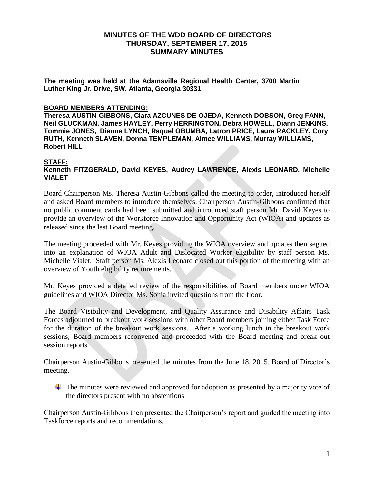## **MINUTES OF THE WDD BOARD OF DIRECTORS THURSDAY, SEPTEMBER 17, 2015 SUMMARY MINUTES**

**The meeting was held at the Adamsville Regional Health Center, 3700 Martin Luther King Jr. Drive, SW, Atlanta, Georgia 30331.** 

#### **BOARD MEMBERS ATTENDING:**

**Theresa AUSTIN-GIBBONS, Clara AZCUNES DE-OJEDA, Kenneth DOBSON, Greg FANN, Neil GLUCKMAN, James HAYLEY, Perry HERRINGTON, Debra HOWELL, Diann JENKINS, Tommie JONES, Dianna LYNCH, Raquel OBUMBA, Latron PRICE, Laura RACKLEY, Cory RUTH, Kenneth SLAVEN, Donna TEMPLEMAN, Aimee WILLIAMS, Murray WILLIAMS, Robert HILL**

### **STAFF:**

### **Kenneth FITZGERALD, David KEYES, Audrey LAWRENCE, Alexis LEONARD, Michelle VIALET**

Board Chairperson Ms. Theresa Austin-Gibbons called the meeting to order, introduced herself and asked Board members to introduce themselves. Chairperson Austin-Gibbons confirmed that no public comment cards had been submitted and introduced staff person Mr. David Keyes to provide an overview of the Workforce Innovation and Opportunity Act (WIOA) and updates as released since the last Board meeting.

The meeting proceeded with Mr. Keyes providing the WIOA overview and updates then segued into an explanation of WIOA Adult and Dislocated Worker eligibility by staff person Ms. Michelle Vialet. Staff person Ms. Alexis Leonard closed out this portion of the meeting with an overview of Youth eligibility requirements.

Mr. Keyes provided a detailed review of the responsibilities of Board members under WIOA guidelines and WIOA Director Ms. Sonia invited questions from the floor.

The Board Visibility and Development, and Quality Assurance and Disability Affairs Task Forces adjourned to breakout work sessions with other Board members joining either Task Force for the duration of the breakout work sessions. After a working lunch in the breakout work sessions, Board members reconvened and proceeded with the Board meeting and break out session reports.

Chairperson Austin-Gibbons presented the minutes from the June 18, 2015, Board of Director's meeting.

 $\perp$  The minutes were reviewed and approved for adoption as presented by a majority vote of the directors present with no abstentions

Chairperson Austin-Gibbons then presented the Chairperson's report and guided the meeting into Taskforce reports and recommendations.